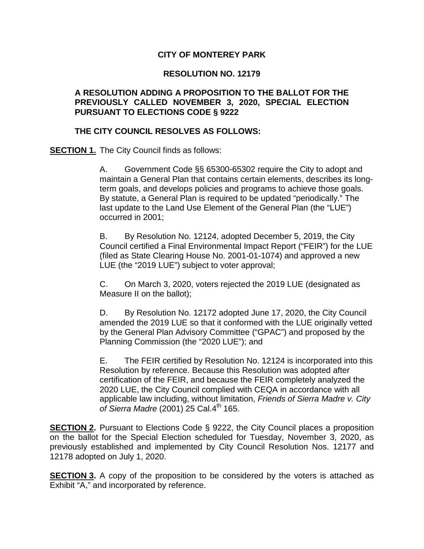### **CITY OF MONTEREY PARK**

#### **RESOLUTION NO. 12179**

#### **A RESOLUTION ADDING A PROPOSITION TO THE BALLOT FOR THE PREVIOUSLY CALLED NOVEMBER 3, 2020, SPECIAL ELECTION PURSUANT TO ELECTIONS CODE § 9222**

#### **THE CITY COUNCIL RESOLVES AS FOLLOWS:**

**SECTION 1.** The City Council finds as follows:

A. Government Code §§ 65300-65302 require the City to adopt and maintain a General Plan that contains certain elements, describes its longterm goals, and develops policies and programs to achieve those goals. By statute, a General Plan is required to be updated "periodically." The last update to the Land Use Element of the General Plan (the "LUE") occurred in 2001;

B. By Resolution No. 12124, adopted December 5, 2019, the City Council certified a Final Environmental Impact Report ("FEIR") for the LUE (filed as State Clearing House No. 2001-01-1074) and approved a new LUE (the "2019 LUE") subject to voter approval;

C. On March 3, 2020, voters rejected the 2019 LUE (designated as Measure II on the ballot);

D. By Resolution No. 12172 adopted June 17, 2020, the City Council amended the 2019 LUE so that it conformed with the LUE originally vetted by the General Plan Advisory Committee ("GPAC") and proposed by the Planning Commission (the "2020 LUE"); and

E. The FEIR certified by Resolution No. 12124 is incorporated into this Resolution by reference. Because this Resolution was adopted after certification of the FEIR, and because the FEIR completely analyzed the 2020 LUE, the City Council complied with CEQA in accordance with all applicable law including, without limitation, *Friends of Sierra Madre v. City of Sierra Madre* (2001) 25 Cal.4<sup>th</sup> 165.

**SECTION 2.** Pursuant to Elections Code § 9222, the City Council places a proposition on the ballot for the Special Election scheduled for Tuesday, November 3, 2020, as previously established and implemented by City Council Resolution Nos. 12177 and 12178 adopted on July 1, 2020.

**SECTION 3.** A copy of the proposition to be considered by the voters is attached as Exhibit "A," and incorporated by reference.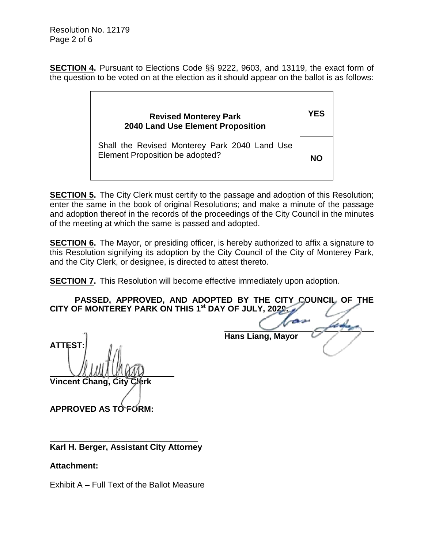**SECTION 4.** Pursuant to Elections Code §§ 9222, 9603, and 13119, the exact form of the question to be voted on at the election as it should appear on the ballot is as follows:

| <b>Revised Monterey Park</b><br><b>2040 Land Use Element Proposition</b>         | YFS |
|----------------------------------------------------------------------------------|-----|
| Shall the Revised Monterey Park 2040 Land Use<br>Element Proposition be adopted? | NΩ  |

**SECTION 5.** The City Clerk must certify to the passage and adoption of this Resolution; enter the same in the book of original Resolutions; and make a minute of the passage and adoption thereof in the records of the proceedings of the City Council in the minutes of the meeting at which the same is passed and adopted.

**SECTION 6.** The Mayor, or presiding officer, is hereby authorized to affix a signature to this Resolution signifying its adoption by the City Council of the City of Monterey Park, and the City Clerk, or designee, is directed to attest thereto.

**SECTION 7.** This Resolution will become effective immediately upon adoption.

**PASSED, APPROVED, AND ADOPTED BY THE CITY COUNCIL OF THE CITY OF MONTEREY PARK ON THIS 1st DAY OF JULY, 2020.**

**ATTEST: Vincent Chang, City** 

 **Hans Liang, Mayor**

 $\overline{a}$ 

**APPROVED AS TO FORM:**

**\_\_\_\_\_\_\_\_\_\_\_\_\_\_\_\_\_\_\_\_\_\_\_\_\_\_\_\_\_\_\_\_ Karl H. Berger, Assistant City Attorney** 

**Attachment:**

Exhibit A – Full Text of the Ballot Measure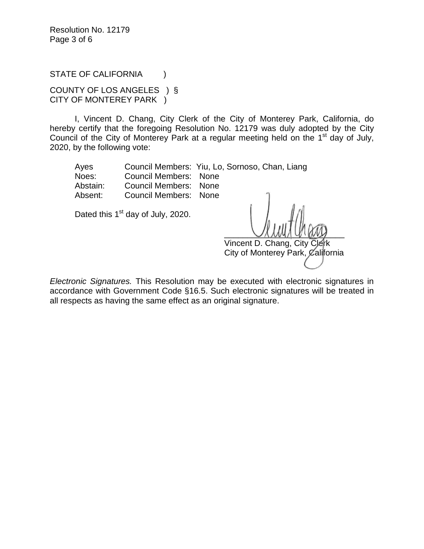Resolution No. 12179 Page 3 of 6

STATE OF CALIFORNIA (1)

COUNTY OF LOS ANGELES ) § CITY OF MONTEREY PARK )

I, Vincent D. Chang, City Clerk of the City of Monterey Park, California, do hereby certify that the foregoing Resolution No. 12179 was duly adopted by the City Council of the City of Monterey Park at a regular meeting held on the  $1<sup>st</sup>$  day of July, 2020, by the following vote:

Ayes Council Members: Yiu, Lo, Sornoso, Chan, Liang Noes: Council Members: None Abstain: Council Members: None Absent: Council Members: None

Dated this  $1<sup>st</sup>$  day of July, 2020.

 $\sim$ Vincent D. Chang, City

City of Monterey Park, California

*Electronic Signatures.* This Resolution may be executed with electronic signatures in accordance with Government Code §16.5. Such electronic signatures will be treated in all respects as having the same effect as an original signature.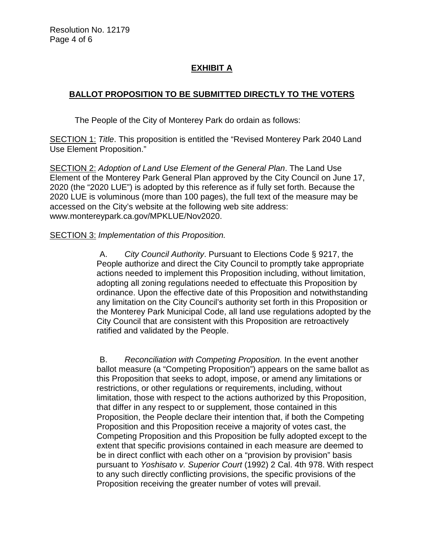Resolution No. 12179 Page 4 of 6

# **EXHIBIT A**

## **BALLOT PROPOSITION TO BE SUBMITTED DIRECTLY TO THE VOTERS**

The People of the City of Monterey Park do ordain as follows:

SECTION 1: *Title*. This proposition is entitled the "Revised Monterey Park 2040 Land Use Element Proposition."

SECTION 2: *Adoption of Land Use Element of the General Plan*. The Land Use Element of the Monterey Park General Plan approved by the City Council on June 17, 2020 (the "2020 LUE") is adopted by this reference as if fully set forth. Because the 2020 LUE is voluminous (more than 100 pages), the full text of the measure may be accessed on the City's website at the following web site address: www.montereypark.ca.gov/MPKLUE/Nov2020.

#### SECTION 3: *Implementation of this Proposition.*

A. *City Council Authority*. Pursuant to Elections Code § 9217, the People authorize and direct the City Council to promptly take appropriate actions needed to implement this Proposition including, without limitation, adopting all zoning regulations needed to effectuate this Proposition by ordinance. Upon the effective date of this Proposition and notwithstanding any limitation on the City Council's authority set forth in this Proposition or the Monterey Park Municipal Code, all land use regulations adopted by the City Council that are consistent with this Proposition are retroactively ratified and validated by the People.

B. *Reconciliation with Competing Proposition.* In the event another ballot measure (a "Competing Proposition") appears on the same ballot as this Proposition that seeks to adopt, impose, or amend any limitations or restrictions, or other regulations or requirements, including, without limitation, those with respect to the actions authorized by this Proposition, that differ in any respect to or supplement, those contained in this Proposition, the People declare their intention that, if both the Competing Proposition and this Proposition receive a majority of votes cast, the Competing Proposition and this Proposition be fully adopted except to the extent that specific provisions contained in each measure are deemed to be in direct conflict with each other on a "provision by provision" basis pursuant to *Yoshisato v. Superior Court* (1992) 2 Cal. 4th 978. With respect to any such directly conflicting provisions, the specific provisions of the Proposition receiving the greater number of votes will prevail.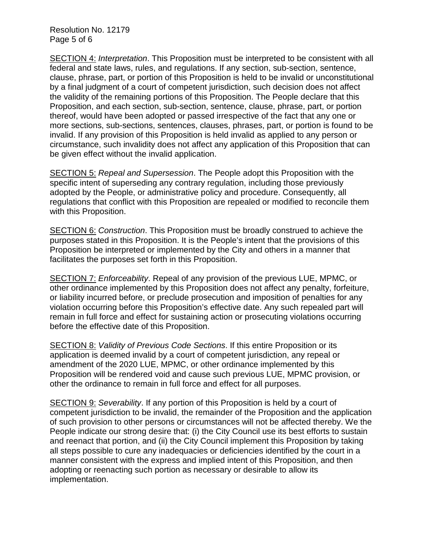Resolution No. 12179 Page 5 of 6

SECTION 4: *Interpretation*. This Proposition must be interpreted to be consistent with all federal and state laws, rules, and regulations. If any section, sub-section, sentence, clause, phrase, part, or portion of this Proposition is held to be invalid or unconstitutional by a final judgment of a court of competent jurisdiction, such decision does not affect the validity of the remaining portions of this Proposition. The People declare that this Proposition, and each section, sub-section, sentence, clause, phrase, part, or portion thereof, would have been adopted or passed irrespective of the fact that any one or more sections, sub-sections, sentences, clauses, phrases, part, or portion is found to be invalid. If any provision of this Proposition is held invalid as applied to any person or circumstance, such invalidity does not affect any application of this Proposition that can be given effect without the invalid application.

SECTION 5: *Repeal and Supersession*. The People adopt this Proposition with the specific intent of superseding any contrary regulation, including those previously adopted by the People, or administrative policy and procedure. Consequently, all regulations that conflict with this Proposition are repealed or modified to reconcile them with this Proposition.

SECTION 6: *Construction*. This Proposition must be broadly construed to achieve the purposes stated in this Proposition. It is the People's intent that the provisions of this Proposition be interpreted or implemented by the City and others in a manner that facilitates the purposes set forth in this Proposition.

SECTION 7: *Enforceability*. Repeal of any provision of the previous LUE, MPMC, or other ordinance implemented by this Proposition does not affect any penalty, forfeiture, or liability incurred before, or preclude prosecution and imposition of penalties for any violation occurring before this Proposition's effective date. Any such repealed part will remain in full force and effect for sustaining action or prosecuting violations occurring before the effective date of this Proposition.

SECTION 8: *Validity of Previous Code Sections*. If this entire Proposition or its application is deemed invalid by a court of competent jurisdiction, any repeal or amendment of the 2020 LUE, MPMC, or other ordinance implemented by this Proposition will be rendered void and cause such previous LUE, MPMC provision, or other the ordinance to remain in full force and effect for all purposes.

SECTION 9: *Severability*. If any portion of this Proposition is held by a court of competent jurisdiction to be invalid, the remainder of the Proposition and the application of such provision to other persons or circumstances will not be affected thereby. We the People indicate our strong desire that: (i) the City Council use its best efforts to sustain and reenact that portion, and (ii) the City Council implement this Proposition by taking all steps possible to cure any inadequacies or deficiencies identified by the court in a manner consistent with the express and implied intent of this Proposition, and then adopting or reenacting such portion as necessary or desirable to allow its implementation.